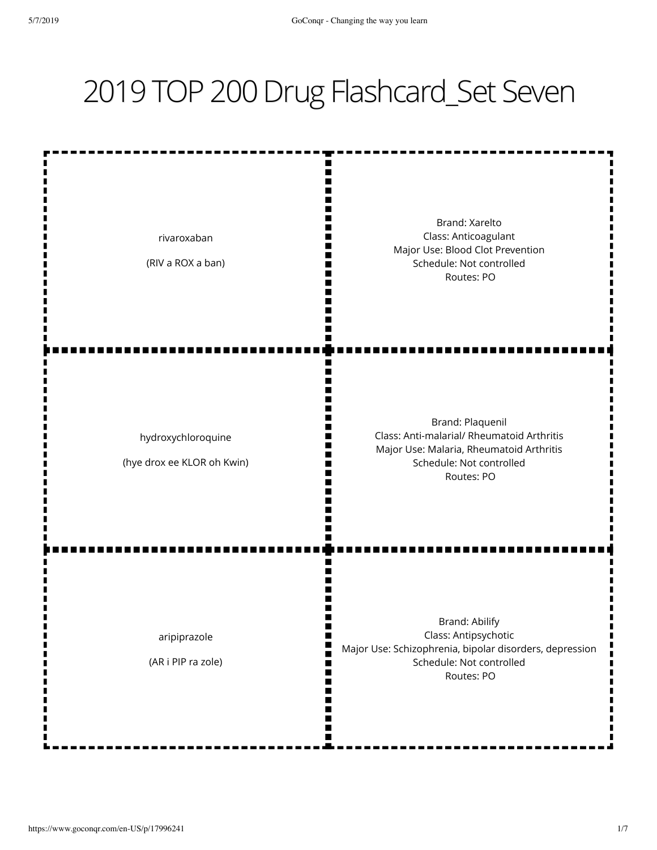## 2019 TOP 200 Drug Flashcard\_Set Seven

W Brand: Xarelto Class: Anticoagulant rivaroxaban Major Use: Blood Clot Prevention (RIV a ROX a ban) Schedule: Not controlled Ш II Routes: PO П Brand: Plaquenil Class: Anti-malarial/ Rheumatoid Arthritis hydroxychloroquine Major Use: Malaria, Rheumatoid Arthritis N٢ (hye drox ee KLOR oh Kwin) Schedule: Not controlled Routes: PO Brand: Abilify Class: Antipsychotic aripiprazole Major Use: Schizophrenia, bipolar disorders, depression (AR i PIP ra zole) Schedule: Not controlled Routes: PO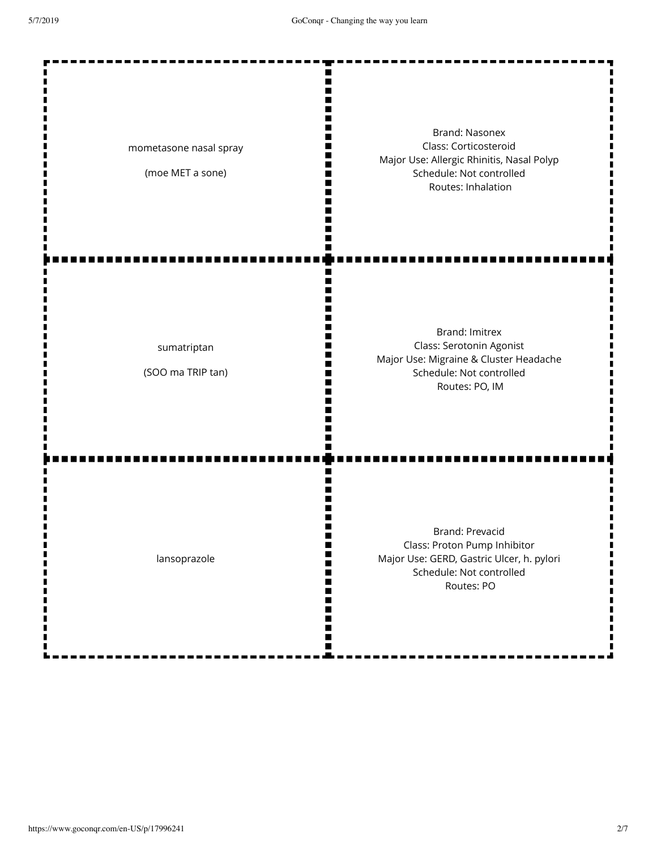| mometasone nasal spray<br>(moe MET a sone) | <b>Brand: Nasonex</b><br>Class: Corticosteroid<br>Major Use: Allergic Rhinitis, Nasal Polyp<br>Schedule: Not controlled<br>Routes: Inhalation |
|--------------------------------------------|-----------------------------------------------------------------------------------------------------------------------------------------------|
| sumatriptan<br>(SOO ma TRIP tan)           | <b>Brand: Imitrex</b><br>Class: Serotonin Agonist<br>Major Use: Migraine & Cluster Headache<br>Schedule: Not controlled<br>Routes: PO, IM     |
| lansoprazole                               | Brand: Prevacid<br>Class: Proton Pump Inhibitor<br>Major Use: GERD, Gastric Ulcer, h. pylori<br>Schedule: Not controlled<br>Routes: PO        |

57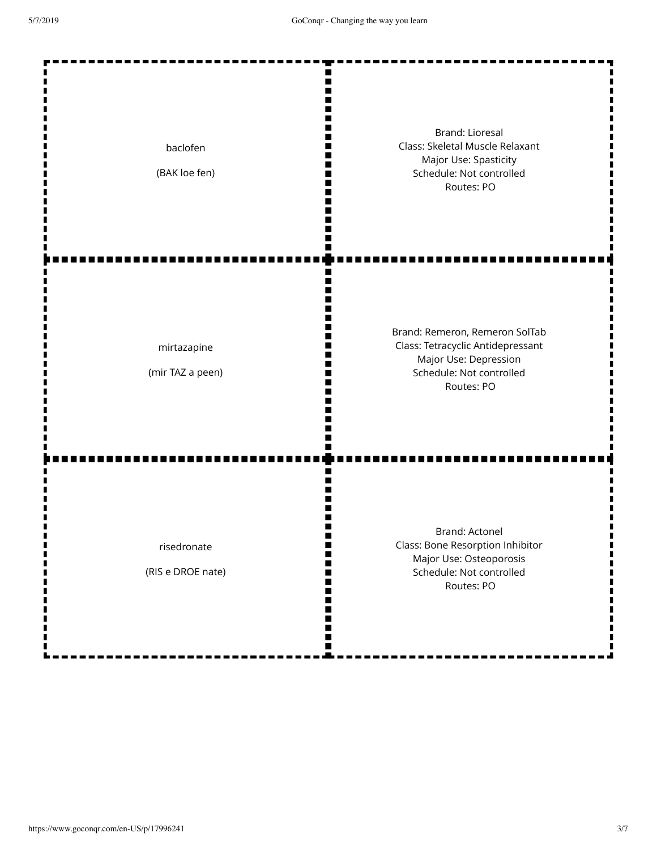| baclofen<br>(BAK loe fen)        | <b>Brand: Lioresal</b><br>Class: Skeletal Muscle Relaxant<br>Major Use: Spasticity<br>Schedule: Not controlled<br>Routes: PO           |
|----------------------------------|----------------------------------------------------------------------------------------------------------------------------------------|
| mirtazapine<br>(mir TAZ a peen)  | Brand: Remeron, Remeron SolTab<br>Class: Tetracyclic Antidepressant<br>Major Use: Depression<br>Schedule: Not controlled<br>Routes: PO |
| risedronate<br>(RIS e DROE nate) | Brand: Actonel<br>Class: Bone Resorption Inhibitor<br>Major Use: Osteoporosis<br>Schedule: Not controlled<br>Routes: PO                |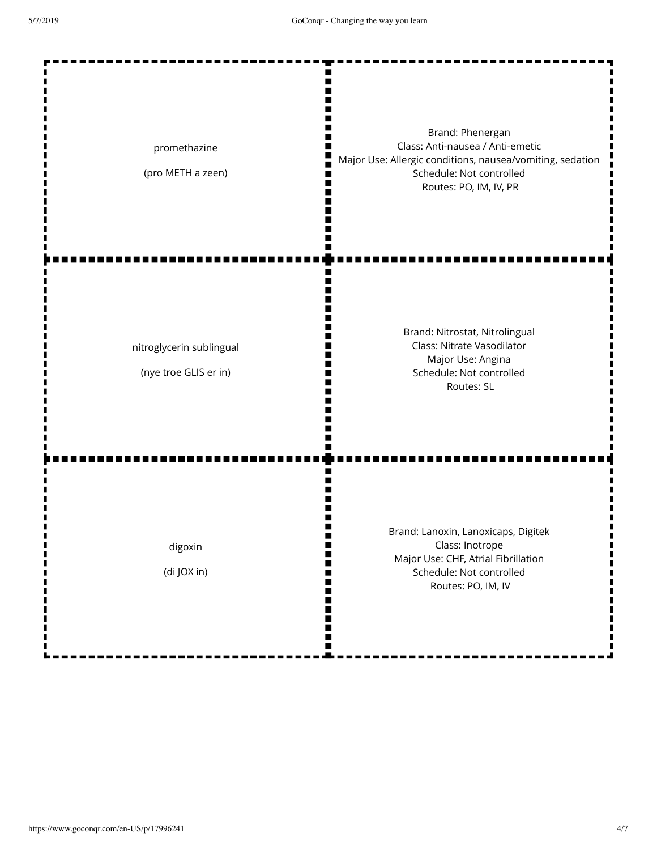| promethazine<br>(pro METH a zeen)                 | ∎<br>Brand: Phenergan<br>Class: Anti-nausea / Anti-emetic<br>٠<br>Major Use: Allergic conditions, nausea/vomiting, sedation<br>Schedule: Not controlled<br>Routes: PO, IM, IV, PR |
|---------------------------------------------------|-----------------------------------------------------------------------------------------------------------------------------------------------------------------------------------|
| nitroglycerin sublingual<br>(nye troe GLIS er in) | n<br>Brand: Nitrostat, Nitrolingual<br>Class: Nitrate Vasodilator<br>Major Use: Angina<br>Schedule: Not controlled<br>Routes: SL                                                  |
| digoxin<br>(di JOX in)                            | Ш<br>Brand: Lanoxin, Lanoxicaps, Digitek<br>Class: Inotrope<br>Ⅲ<br>Major Use: CHF, Atrial Fibrillation<br>Schedule: Not controlled<br>Routes: PO, IM, IV<br>W<br>ш<br>W<br>W     |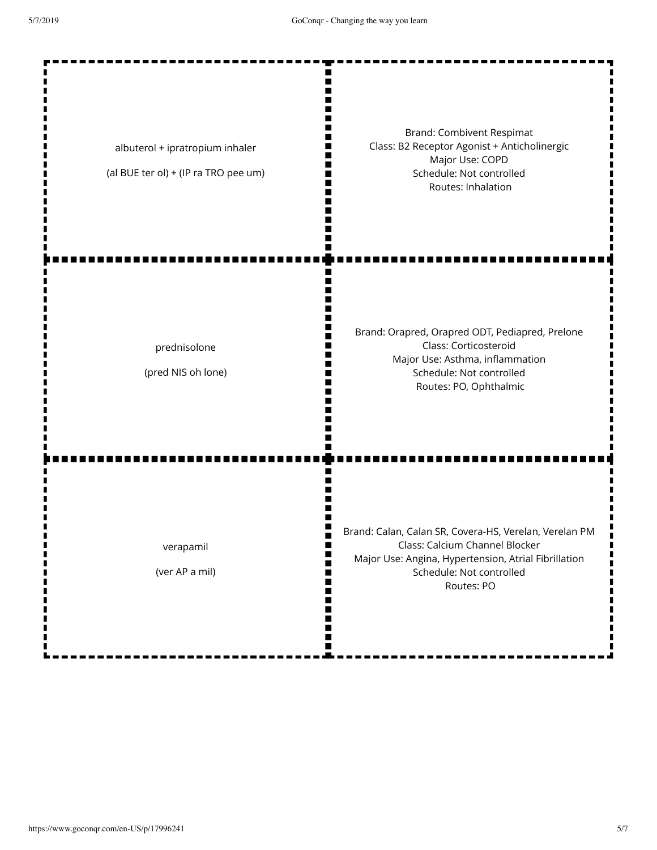Ш п  $\blacksquare$ П

m H ш m

ш

Ш ш

п

П П H Ш m

albuterol + ipratropium inhaler

(al BUE ter ol) + (IP ra TRO pee um)

Brand: Combivent Respimat Class: B2 Receptor Agonist + Anticholinergic Major Use: COPD Schedule: Not controlled Routes: Inhalation

prednisolone

(pred NIS oh lone)

Brand: Orapred, Orapred ODT, Pediapred, Prelone Class: Corticosteroid Major Use: Asthma, inflammation Schedule: Not controlled Routes: PO, Ophthalmic

verapamil

(ver AP a mil)

Brand: Calan, Calan SR, Covera-HS, Verelan, Verelan PM Class: Calcium Channel Blocker Major Use: Angina, Hypertension, Atrial Fibrillation Schedule: Not controlled Routes: PO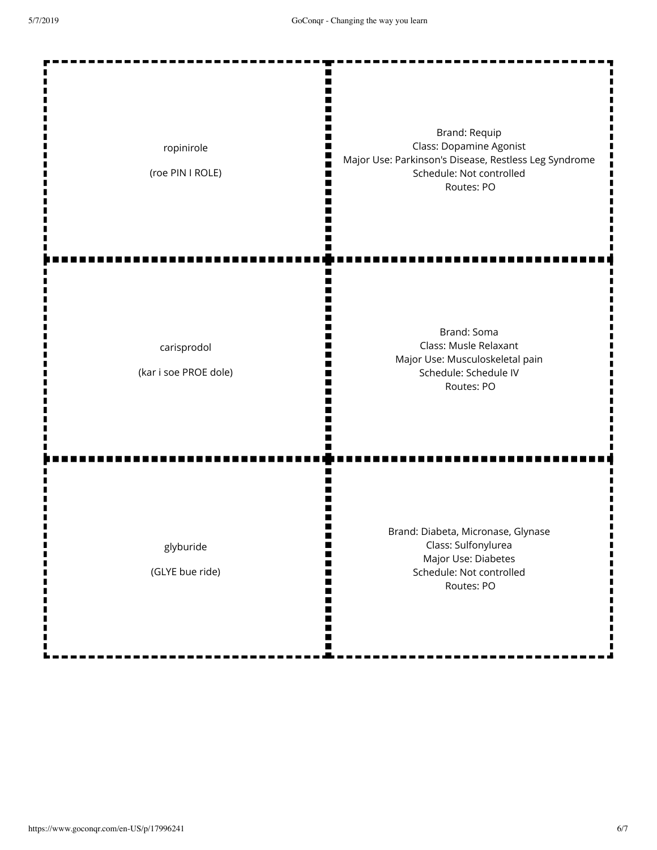